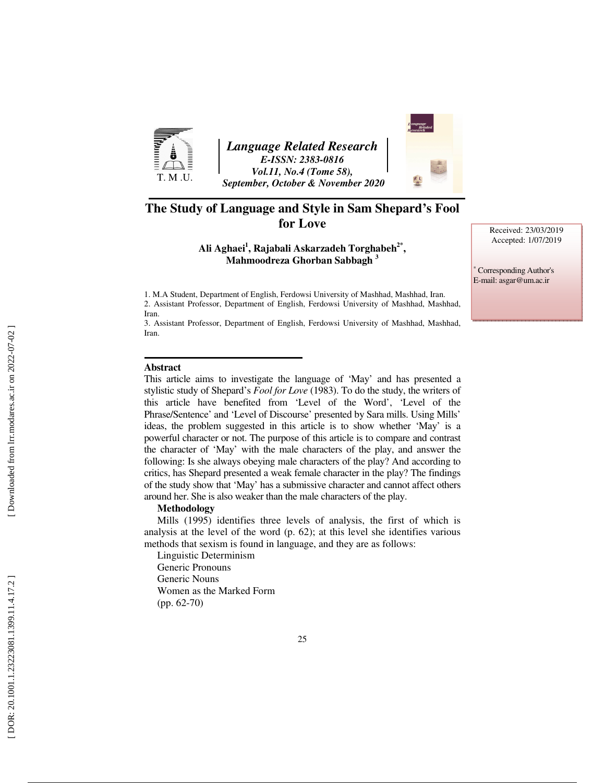

*Language Related Research E-ISSN: 2383-0816 Vol.11, No.4 (Tome 58), September, October & November 2020* 

### **The Study of Language and Style in Sam Shepard's Fool for Love**

**Ali Aghaei 1 , Rajabali Askarzadeh Torghabeh2\* , Mahmoodreza Ghorban Sabbagh 3**

Received: 23/03/2019 Accepted: 1/07/2019

∗ Corresponding Author's E-mail: asgar@um.ac.ir

1. M.A Student, Department of English, Ferdowsi University of Mashhad, Mashhad, Iran. 2. Assistant Professor, Department of English, Ferdowsi University of Mashhad, Mashhad, Iran.

3. Assistant Professor, Department of English, Ferdowsi University of Mashhad, Mashhad, Iran.

#### **Abstract**

This article aims to investigate the language of 'May' and has presented a stylistic study of Shepard's *Fool for Love* (1983). To do the study, the writers of this article have benefited from 'Level of the Word', 'Level of the Phrase/Sentence' and 'Level of Discourse' presented by Sara mills. Using Mills' ideas, the problem suggested in this article is to show whether 'May' is a powerful character or not. The purpose of this article is to compare and contrast the character of 'May' with the male characters of the play, and answer the following: Is she always obeying male characters of the play? And according to critics, has Shepard presented a weak female character in the play? The findings of the study show that 'May' has a submissive character and cannot affect others around her. She is also weaker than the male characters of the play.

#### **Methodology**

Mills (1995) identifies three levels of analysis, the first of which is analysis at the level of the word (p. 62); at this level she identifies various methods that sexism is found in language, and they are as follows:

Linguistic Determinism Generic Pronouns Generic Nouns Women as the Marked Form (pp. 62-70)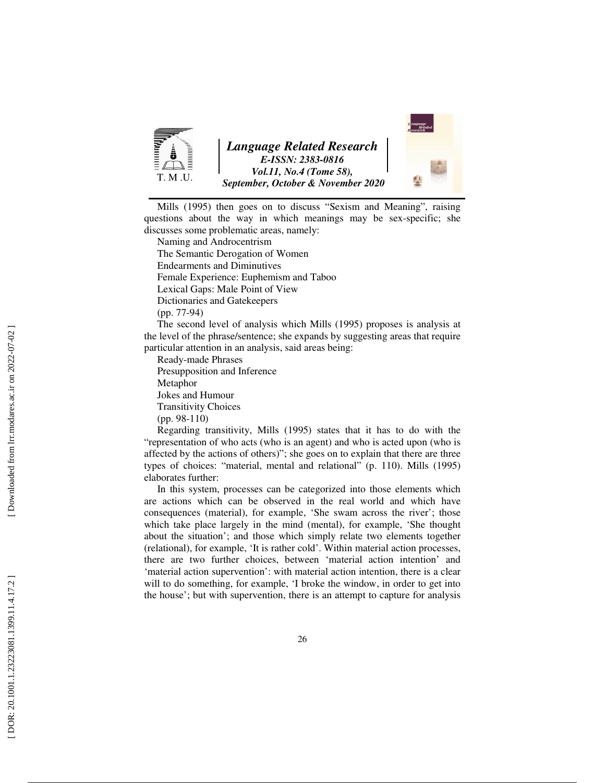



Mills (1995) then goes on to discuss "Sexism and Meaning", raising questions about the way in which meanings may be sex-specific; she discusses some problematic areas, namely:

Naming and Androcentrism

The Semantic Derogation of Women

Endearments and Diminutives

Female Experience: Euphemism and Taboo

Lexical Gaps: Male Point of View

Dictionaries and Gatekeepers

(pp. 77-94)

The second level of analysis which Mills (1995) proposes is analysis at the level of the phrase/sentence; she expands by suggesting areas that require particular attention in an analysis, said areas being:

Ready-made Phrases Presupposition and Inference Metaphor Jokes and Humour Transitivity Choices (pp. 98-110)

Regarding transitivity, Mills (1995) states that it has to do with the "representation of who acts (who is an agent) and who is acted upon (who is affected by the actions of others)"; she goes on to explain that there are three types of choices: "material, mental and relational" (p. 110). Mills (1995) elaborates further:

In this system, processes can be categorized into those elements which are actions which can be observed in the real world and which have consequences (material), for example, 'She swam across the river'; those which take place largely in the mind (mental), for example, 'She thought about the situation'; and those which simply relate two elements together (relational), for example, 'It is rather cold'. Within material action processes, there are two further choices, between 'material action intention' and 'material action supervention': with material action intention, there is a clear will to do something, for example, 'I broke the window, in order to get into the house'; but with supervention, there is an attempt to capture for analysis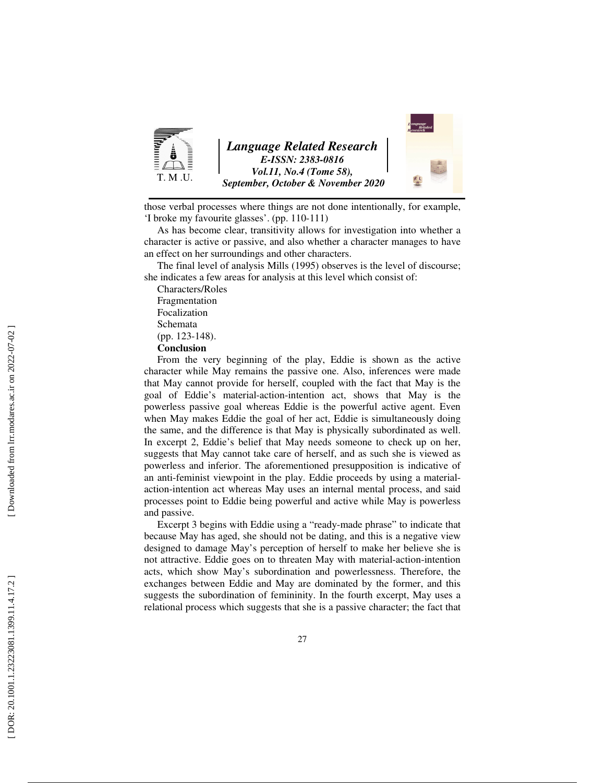

those verbal processes where things are not done intentionally, for example, 'I broke my favourite glasses'. (pp. 110-111)

As has become clear, transitivity allows for investigation into whether a character is active or passive, and also whether a character manages to have an effect on her surroundings and other characters.

The final level of analysis Mills (1995) observes is the level of discourse; she indicates a few areas for analysis at this level which consist of:

Characters/Roles Fragmentation Focalization

Schemata

(pp. 123-148).

**Conclusion** 

From the very beginning of the play, Eddie is shown as the active character while May remains the passive one. Also, inferences were made that May cannot provide for herself, coupled with the fact that May is the goal of Eddie's material-action-intention act, shows that May is the powerless passive goal whereas Eddie is the powerful active agent. Even when May makes Eddie the goal of her act, Eddie is simultaneously doing the same, and the difference is that May is physically subordinated as well. In excerpt 2, Eddie's belief that May needs someone to check up on her, suggests that May cannot take care of herself, and as such she is viewed as powerless and inferior. The aforementioned presupposition is indicative of an anti-feminist viewpoint in the play. Eddie proceeds by using a materialaction-intention act whereas May uses an internal mental process, and said processes point to Eddie being powerful and active while May is powerless and passive.

Excerpt 3 begins with Eddie using a "ready-made phrase" to indicate that because May has aged, she should not be dating, and this is a negative view designed to damage May's perception of herself to make her believe she is not attractive. Eddie goes on to threaten May with material-action-intention acts, which show May's subordination and powerlessness. Therefore, the exchanges between Eddie and May are dominated by the former, and this suggests the subordination of femininity. In the fourth excerpt, May uses a relational process which suggests that she is a passive character; the fact that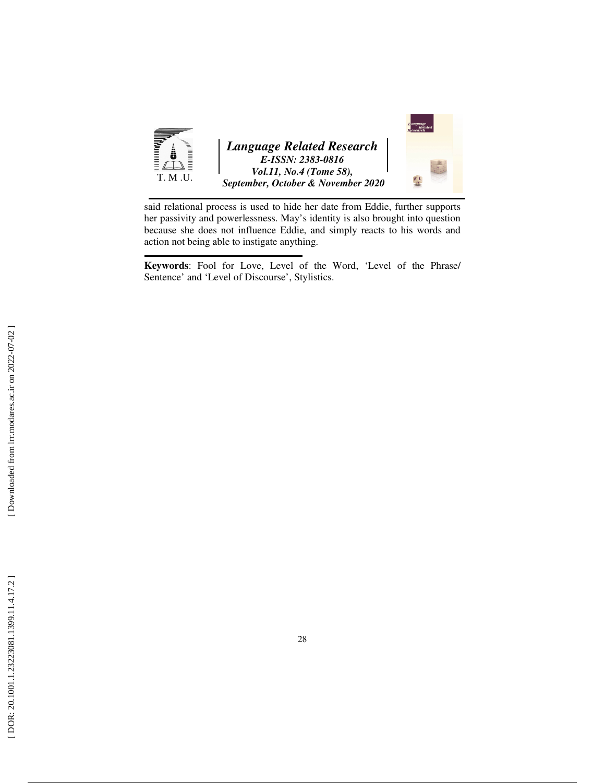

said relational process is used to hide her date from Eddie, further supports her passivity and powerlessness. May's identity is also brought into question because she does not influence Eddie, and simply reacts to his words and action not being able to instigate anything.

**Keywords**: Fool for Love, Level of the Word, 'Level of the Phrase/ Sentence' and 'Level of Discourse', Stylistics.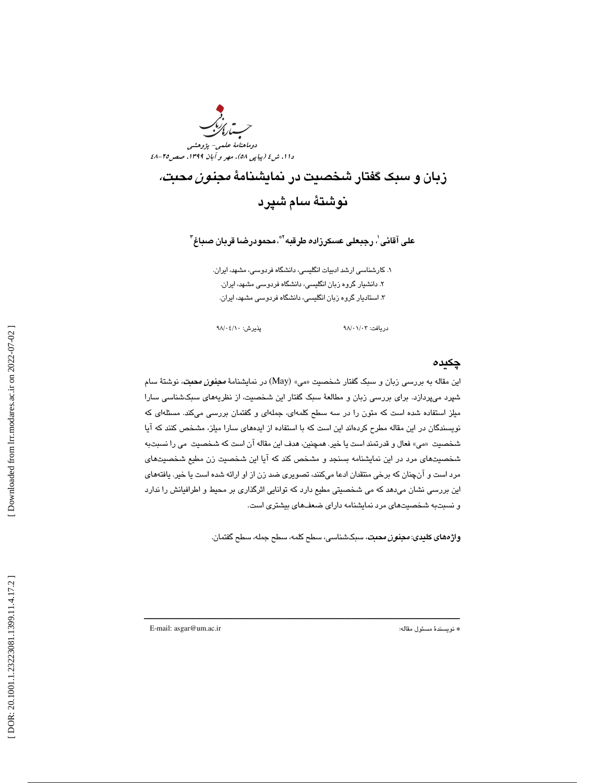

## زبان و سبک گفتار شخصیت در نمایشنامهٔ *مجنون محبت،* نوشتهٔ سام شپرد

على آقائى ٰ، رجبعلى عسكرزاده طرقبه <sup>\\*</sup>، محمودرضـا قربان صباغ <sup>٣</sup>

١. كارشناسي ارشد ادبيات انگليسي، دانشگاه فردوسي، مشهد، ايران. . دانشيار گروه زبان انگليسي، دانشگاه فردوسي مشهد، ايران. 2 . 3 استاد يار گروه زبان انگليسي، دانشگاه فردوسي مشهد، ايران.

دريافت: 03/ 01/ 98 پذيرش: 10/ 04/ 98

#### چكيده

اين مقاله به بررسي زبان و سبک گفتار شخصيت «مي» (May) در نمايشنامهٔ *مجن<i>ون محبت***،** نوشتهٔ سام ا شپرد میپردازد. برای بررسی زبان و مطالعهٔ سبک گفتار این شخصیت، از نظریههای سبکشناسی سارا میلز استفاده شده است که متون را در سه سطح کلمهای، جملهای و گفتمان بررسی میکند. مسئلهای که نويسندگان در اين مقاله مطرح كردهاند اين است كه با استفاده از ايدههاي سارا ميلز، مشخص كنند كه آيا شخصيت «مي» فعال و قدرتمند است يا خير. همچنين، هدف اين مقاله آن است كه شخصيت مي را نسبتبه شخصيتهاي مرد در اين نمايشنامه بسنجد و مشخص كند كه آيا اين شخصيت زن مطيع شخصيتهاي مرد است و انچنان كه برخی منتقدان ادعا میكنند، تصویری ضد زن از او ارائه شده است یا خیر. یافتههای ین بررسی نشان میدهد که می شخصیتی مطیع دارد که توانایی اثرگذاری بر محیط و اطرافیانش را ندارد ا و نسبتبه شخصيتهاي مرد نمايشنامه داراي ضعفهاي بيشتري است.

ــــــــــــــــــــــــــــــــــــــــــــــــــــــــــــــــــــــــــــــــــــــــــــــــــــــــــــــــــــــــــــــــــــــــــ

**واژههای كليدی:** *مجنون محبت***،** سبکشناسی، سطح كلمه، سطح ، سطح گفتمان.

E-mail: asgar@um.ac.ir :مقاله مسئول نويسندة\*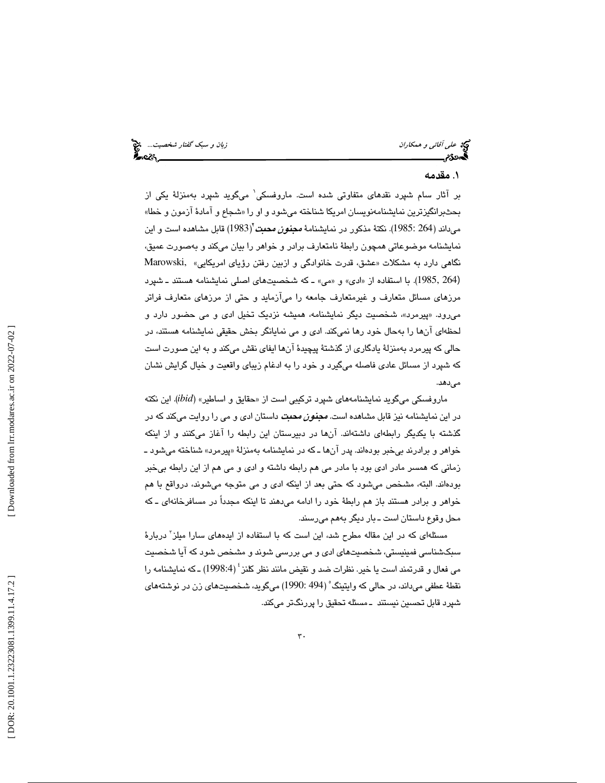و همكاران زبان و سبك گفتار شخصيت...

علي آقائي

#### . مقدمه 1

بر آثار سام شپرد نقد*ه*ای متفاوتی شده است. ماروفسکی<sup>۱</sup> میگوید شپرد بهمنزلهٔ یکی از بحثبرانگيزترين نمايشنامەنويسان امريكا شناخته ميشود و او را «شجاع و امادۀ ازمون و خطا» میداند (264 :1985). نكتهٔ مذكور در نمایشنامهٔ *مجن<i>ون محبت* (1983) قابل مشاهده است و این نمايشنامه موضوعاتي همچون رابطهٔ نامتعارف برادر و خواهر را بيان ميكند و بهصورت عميق، نگاهي دارد به مشكلات «عشق، قدرت خانوادگي و ازبين رفتن رؤياي امريكايي» ,Marowski (1985, 264). با استفاده از «ادی» و «می» ـ که شخصیتهای اصلی نمایشنامه هستند ـ شپرد مرزهای مسائل متعارف و غیرمتعارف جامعه را می|زماید و حتی از مرزهای متعارف فراتر میرود. «پیرمرد»، شخصیت دیگر نمایشنامه، همیشه نزدیک تخیل ادی و می حضور دارد و لحظهای انها را بهحال خود رها نمیکند. ادی و می نمایانگر بخش حقیقی نمایشنامه هستند، در حالي كه پيرمرد به منزلة يادگاري از گذشتة پيچيدة آن ها ايفاي نقش ميكند و به ا ين صورت است كه شپرد از مسائل عادي فاصله ميگيرد و خود را به ادغام زيباي واقعيت و خيال گرايش نشان مىدھد.

ماروفسكي ميگويد نمايشنامههاي شپرد تركيبي است از «حقايق و اساطير» (ibid). اين نكته در اين نمايشنامه نيز قابل مشاهده است. *مجن<i>ون محبت* داستان ادي و مي را روايت ميكند كه در گذشته با یکدیگر رابطهای داشتهاند. انها در دبیرستان این رابطه را اغاز میکنند و از اینکه خواهر و برادرند بیخبر بودهاند. پدر انها ـ که در نمایشنامه بهمنزلهٔ «پیرمرد» شناخته میشود ـ زماني كه همسر مادر ادي بود با مادر مي هم رابطه داشته و ادي و مي هم از اين رابطه بيخبر بودهاند. البته، مشخص میشود که حتی بعد از اینکه ادی و می متوجه میشوند، درواقع با هم خواهر و برادر هستند باز هم رابطهٔ خود را ادامه میدهند تا اینکه مجدداً در مسافرخانهای ــ که محل وقوع داستان است ـ بار ديگر به هم ميرسند.

مسئلهای که در این مقاله مطرح شد، این است که با استفاده از ایدههای سارا میلز ّ دربارهٔ سبکشناسی فمینیستی، شخصیتهای ادی و می بررسی شوند و مشخص شود که آیا شخصیت می فعال و قدرتمند است یا خیر. نظرات ضد و نقیض مانند نظر کلنز ٔ (1998:4) ـ که نمایشنامه را نقطهٔ عطفی میداند، در حالی که وایتینگ ْ (494 :1990) میگوید، شخصیتهای زن در نوشتههای شپرد قابل تحسین نیستند ــ مسئله تحقیق را پررنگتر میکند.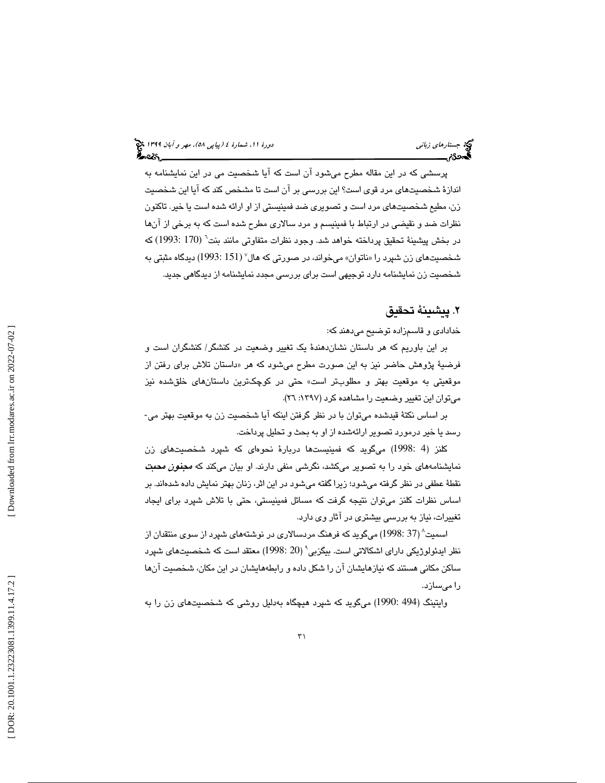پرسشی كه در این مقاله مطرح میشود ان است كه ایا شخصیت می در این نمایشنامه به اندازهٔ شخصیتهای مرد قوی است؟ این بررسی بر آن است تا مشخص كند كه آیا این شخصیت زن، مطيع شخصيتهاي مرد است و تصويري ضد فمينيستي از او ارائه شده است يا خير. تاكنون نظرات ضد و نقيضي در ارتباط با فمينيسم و مرد سالار ي مطرح شده است كه به برخ ي از آنها در بخش پيشينهٔ تحقيق پرداخته خواهد شد. وجود نظرات متفاوتي مانند بنت<sup>٦</sup> (170 :1993) كه شخصيتهاي زن شپرد « را ناتوان » ميخواند، در صورتي كه هال 7 (151 1993:) ديدگاه مثبت ي به شخصيت زن نمايشنامه دارد توجيهي است براي بررسي مجدد نمايشنامه از ديدگاهي جديد.

#### . پيشينة تحقيق 2

خدادادي و قاسمزاده توضيح ميدهند كه:

بر اين باوريم كه هر داستان نشاندهندهٔ يک تغيير وضعيت در كنشگر/ كنشگران است و فرضيهٔ پژوهش حاضر نيز به اين صورت مطرح ميشود كه هر «داستان تلاش برای رفتن از موقعيتي به موقعيت بهتر و مطلوبتر است» حتى در كوچكترين داستانهاى خلقشده نيز مي توان اين تغيير وضعيت را مشاهده كرد (١٣٩٧: ٢٦).

بر اساس نكتهٔ قیدشده میتوان با در نظر گرفتن اینكه آیا شخصیت زن به موقعیت بهتر می-رسد يا خير درمورد تصوير ارائهشده از او به بحث و تحليل پرداخت.

كلنز (4 :1998) میگوید كه فمینیستها دربارهٔ نحوهای كه شپرد شخصیتهای زن نمایشنامههای خود را به تصویر میکشد، نگرشی منفی دارند. او بیان میکند که *مجنون محبت* نقطهٔ عطفی در نظر گرفته میشود؛ زیرا گفته میشود در این اثر، زنان بهتر نمایش داده شدهاند. بر اساس نظرات كلنز مىتوان نتيجه گرفت كه مسائل فمينيستى، حتى با تلاش شپرد براى ايجاد تغييرات، نياز به بررسي بيشتري در آثار وي دارد.

اسمیت^ (37 :1998) میگوید که فرهنگ مردسالاری در نوشتههای شپرد از سوی منتقدان از نظر ايدئولوژيكى داراى اشكالاتى است. بيگزبى<sup>^</sup> (20 :1998) معتقد است كه شخصىيتهاى شپرد ساكن مكانی هستند كه نیازهایشان آن را شكل داده و رابطههایشان در این مكان، شخصیت آنها را ميسازد.

وايتينگ (494 :1990) مىگويد كه شپرد هيچگاه بەدليل روشى كه شخصيتهاى زن را به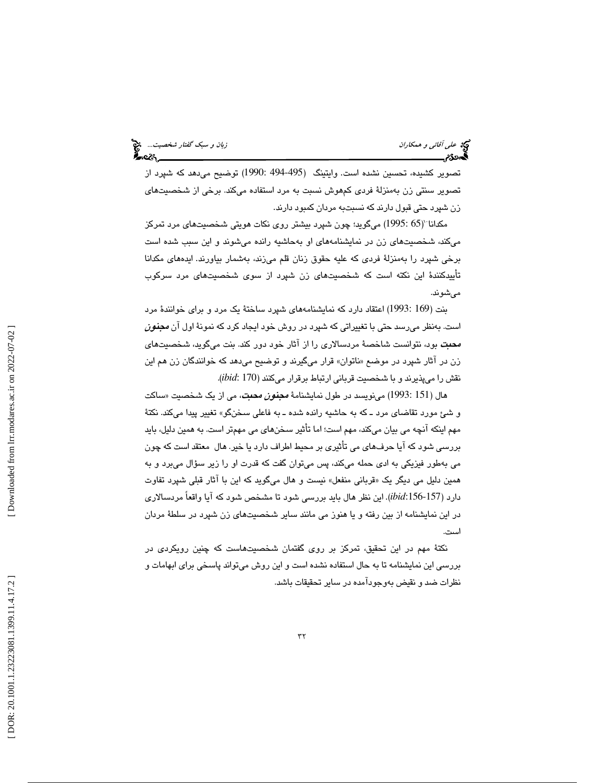علي آقائي

تصوير كشيده، تحسين نشده است. وايتينگ (495-494 :1990) توضيح مىدهد كه شپرد از تصوير سنتي زن بهمنزلهٔ فردي كمهوش نسبت به مرد استفاده ميكند. برخي از شخصيتهاي زن شپرد حتی قبول دارند كه نسبتبه مردان كمبود دارند.

مكدانا (65 :1995) ميگويد؛ چون شپرد بيشتر روى نكات هويتي شخصيتهاي مرد تمركز میکند، شخصیتهای زن در نمایشنامههای او بهحاشیه رانده میشوند و این سبب شده است برخی شپرد را بهمنزلهٔ فردی که علیه حقوق زنان قلم میزند، بهشمار بیاورند. ایدههای مکدانا تأييدكنندهٔ اين نكته است كه شخصيتهاى زن شپرد از سوى شخصيتهاى مرد سركوب شوند . مي

بنت (169 :1993) اعتقاد دارد كه نمايشنامههاى شپرد ساختهٔ يک مرد و براى خوانندهٔ مرد است. بەنظر میرسد حتی با تغییراتی که شپرد در روش خود ایجاد کرد که نمونهٔ اول ان *مجنون* **محبت** بود، نتوانست شاخصهٔ مردسالاری را از اثار خود دور كند. بنت میگوید، شخصیتهای زن در اثار شپرد در موضع «ناتوان» قرار میگیرند و توضیح میدهد که خوانندگان زن هم این نقش را می<sub>ل</sub>ذیرند و با شخصیت قربانی ارتباط برقرار میکنند (i*bid*: 170).

هال (151 :1993) مینویسد در طول نمایشنامهٔ *مجن<i>ون محبت***،** می از یک شخصیت «ساکت و شئ مورد تقاضای مرد ــ كه به حاشیه رانده شده ــ به فاعلی سـخنگو» تغییر پیدا میكند. نكتهٔ مهم اينكه آنچه مي بيان ميكند، مهم است؛ اما تأثير سخنهاي مي مهمتر است. به همين دليل، بايد بررسی شود كه آیا حرف۵مای می تأثیری بر محیط اطراف دارد یا خیر. هال معتقد است كه چون می بهطور فیزیکی به ادی حمله میکند، پس میتوان گفت که قدرت او را زیر سؤال میبرد و به همین دلیل می دیگر یک «قربانی منفعل» نیست و هال میگوید که این با اثار قبلی شپرد تفاوت دارد (157-*ibid:*156). این نظر هال باید بررسی شود تا مشخص شود که آیا واقعاً مردسالاری در اين نمايشنامه از بين رفته و يا هنوز مي مانند ساير شخصيتهاي زن شپرد در سلطهٔ مردان است.

نكتهٔ مهم در اين تحقيق، تمركز بر روي گفتمان شخصيتهاست كه چنين رويكردي در بررسی این نمایشنامه تا به حال استفاده نشده است و این روش میتواند پاسخی برای ابهامات و نظرات ضد و نقيض هب وجودآمده در سا ير تحقيقات باشد .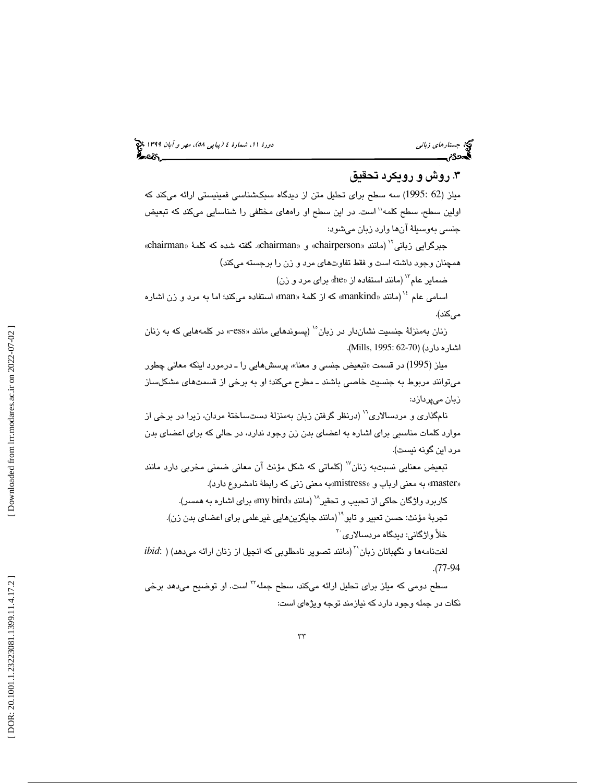## (پياپي 58)، مهر و آبان 1399 جستارهاي زباني دورة ،11 شمارة 4

#### .3 روش و رويكرد تحقيق

میلز (62 :1995) سه سطح برای تحلیل متن از دیدگاه سبکشناسی فمینیستی ارائه میکند که اولين سطح، سطح كلمه'' است. در اين سطح او راههاي مختلفي را شناسايي ميكند كه تبعيض جنسی بهوسبلهٔ ان۵ا وارد زبان میشود:<br>جبرگرایی زبانی`` (مانند «chairperson» و «chairman». گفته شده که کلمهٔ «chairman»

همچنان وجود داشته است و فقط تفاوتهای مرد و زن را برجسته میکند)

ضماير عام" (مانند استفاده از «he» برای مرد و زن)

اسامی عام <sup>۱۶</sup> (مانند «mankind» که از کلمهٔ «man» استفاده میکند؛ اما به مرد و زن اشاره مىكند).

زنان بهمنزلهٔ جنسیت نشاندار در زبان<sup>۱۰</sup> (پسوندهایی مانند «ess- در کلمههایی که به زنان .( Mills, 1995: 62-70 اشاره دارد) (

میلز (1995) در قسمت «تبعیض جنسی و معنا»، پرسشهایی را ـ درمورد اینكه معانی چطور میتوانند مربوط به جنسیت خاصی باشند ـ مطرح میکند؛ او به برخی از قسمتهای مشکلساز زبان میپردازد:

نامگذاري و مردسالاري<sup>\\</sup> (درنظر گرفتن زبان بهمنزلهٔ دستساختهٔ مردان، زيرا در برخي از موارد كلمات مناسبي براي اشاره به اعضاي بدن زن وجود ندارد، در حالي كه براي اعضاي بدن مرد اين گونه نيست).

تبعيض معنايي نسبتبه زنان<sup>\٬</sup> (كلماتي كه شكل مؤنث آن معاني ضمني مخربي دارد مانند «master» به معنى ارباب و «mistress»به معنى زني كه رابطهٔ نامشروع دارد).

کاربرد واژگان حاکی از تحبیب و تحقیر $^\vee$  (مانند «my bird» برای اشاره به همسر). تجربهٔ مؤنث: حسن تعبیر و تابو``` (مانند جایگزین۵ایی غیرعلمی برای اعضای بدن زن). خلأً واژگانی: دیدگاه مردسالاری<sup>۲۰</sup>

 $ibid$ : ) (فتنامهها و نگهبانان زبان $^\mathrm{v}$ (مانند تصوير نامطلوبي كه انجيل از زنان ارائه مي $\mathrm{ad}$  ) . (77-94

سطح دومی که میلز برای تحلیل ارائه میکند، سطح جمله<sup>۲۲</sup> است. او توضیح مید*ه*د برخی نكات در جمله وجود دارد كه نيازمند توجه ويژه اي است :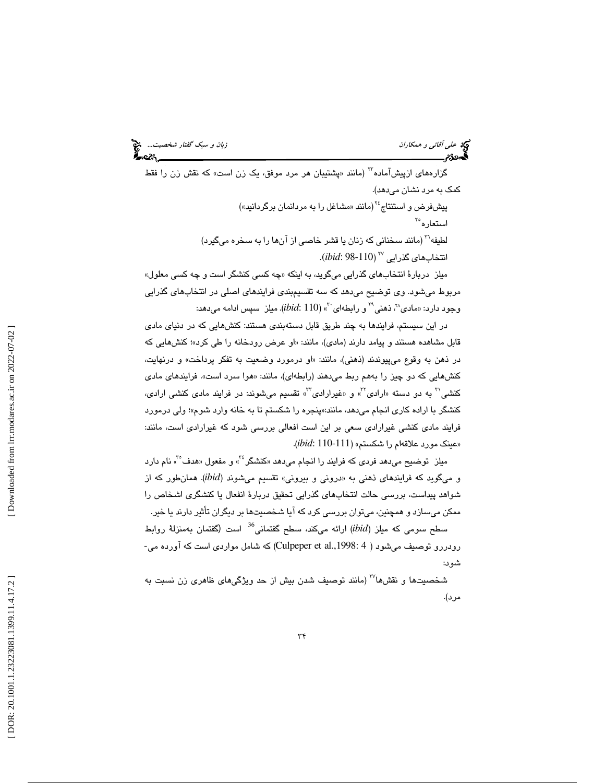و*بان و سبک گفتار شخصيت...*<br>اين سمس<u>ت است. بان</u> پايت ديگاه<br>اين سمست <u>بان پايت ديگاه</u>

# مي عل*ي آقائي و همكاران*<br>گھوئ

گزارههای ازپیشآماده<sup>11</sup> (مانند «پشتیبان هر مرد موفق، یک زن است» كه نقش زن را فقط كمک به مرد نشان مىدهد). پیشفرض و استنتاج<sup>۲۶</sup> (مانند «مشاغل را به مردانمان برگردانید») استعاره<sup>۲</sup>° لطيفه<sup>۲۰</sup> (مانند سخنانی كه زنان يا قشر خاصی از آنها را به سخره میگیرد) انتخاب*ه*ای گذرایی <sup>۲۷</sup> (ibid: 98-110).

میلز دربارهٔ انتخابهای گذرایی میگوید، به اینکه «چه کسی کنشگر است و چه کسی معلول» مربوط میشود. وی توضیح میدهد که سه تقسیمبندی فرایندهای اصلی در انتخابهای گذرایی وجود دارد: «مادی^<sup>۲</sup>، ذهنی<sup>۲۹</sup> و رابطهای <sup>۳۰</sup>» *(ibid*: 110). میلز سپس ادامه میدهد:

در اين سيستم، فرايندها به چند طريق قابل دستهبندي هستند: كنشهايي كه در دنياي مادي قابل مشاهده هستند و پیامد دارند (مادی)، مانند: «او عرض رودخانه را طی کرد»؛ کنشهایی که در ذهن به وقوع مىپيوندند (ذهنى)، مانند: «او درمورد وضعيت به تفكر پرداخت» و درنهايت، هوا سرد است». فرايند*ه*اي ما*دي* کنشهایی که دو چیز را بههم ربط میدهند (رابطهای)، مانند: «هوا سرد است». فرایندهای مادی<br>کنشی<sup>۲۰</sup> به دو دسته «ارادی<sup>۲</sup>» و «غیرارادی<sup>۳</sup>» تقسیم میشوند: در فرایند مادی کنشی ارادی، كنشگر با اراده كارى انجام مىدهد، مانند:«پنجره را شكستم تا به خانه وارد شوم»؛ ولى درمورد فرایند مادی کنشی غیرارادی سعی بر این است افعالی بررسی شود که غیرارادی است، مانند: «عينك مورد علاقهام را شكستم» (111-110 *:ibid*).

میلز توضیح میدهد فردی كه فرایند را انجام میدهد «كنشگر<sup>،۲</sup>» و مفعول «هدف°<sup>۳</sup>» نام دارد و میگوید که فرایندهای ذهنی به «درونی و بیرونی» تقسیم میشوند (ibid). همانطور که از شواهد پيداست، بررسي حالت انتخابهاي گذرايي تحقيق دربارهٔ انفعال يا كنشگري اشخاص را ممکن میسازد و همچنین، میتوان بررسی کرد که ایا شخصیتها بر دیگران تأثیر دارند یا خیر. سطح سومی که میلز (ibid) ارائه میکند، سطح گفتمانی<sup>36</sup> است (گفتمان بهمنزلهٔ روابط

رودررو توصیف میشود ( Culpeper et al.,1998: 4) که شامل مواردی است که آورده می-<br>شود:

شخصيتها و نقشها<sup>٬۲۷</sup> (مانند توصيف شدن بيش از حد ويژگيهاي ظاهري زن نسبت به مرد) .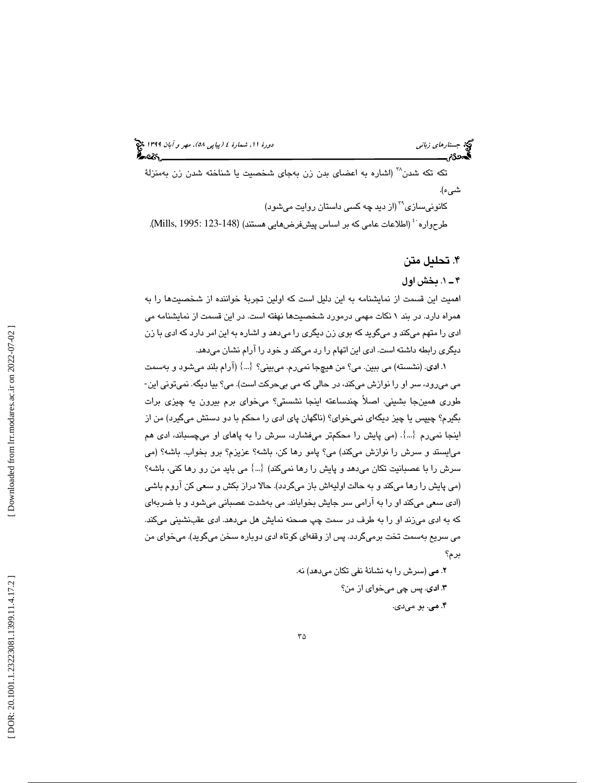تکه تکه شدن<sup>۳۸</sup> (اشاره به اعضای بدن زن بهجای شخصیت یا شناخته شدن زن بهمنزلهٔ شيء .)

کانونیسازی<sup>۳۹</sup> (از دید چه کسی داستان روایت میشود)

طرحواره <sup>: ،</sup> (اطلاعات عامی که بر اساس پیشفرض۵ایی هستند) (148-123 :1995 .Mills, 1).

### ۴. تحليل متن

#### 1ـ 4 . بخش اول

اهميت اين قسمت از نمايشنامه به اين دليل است كه اولين تجربهٔ خواننده از شخصيتها را به همراه دارد. در بند ۱ نكات مهمی درمورد شخصيتها نهفته است. در اين قسمت از نمايشنامه می ادی را متهم میکند و میگوید که بوی زن دیگری را میدهد و اشاره به این امر دارد که ادی با زن دیگری رابطه داشته است. ادی این اتهام را رد میکند و خود را ارام نشان میدهد.

١. ا**د**ی. (نشسته) می ببین. می؟ من هیچجا نمیرم. میبینی؟  $\{\ldots\}$  (آرام بلند میشود و بهسمت می میرود، سر او را نوازش میکند، در حالی که می بیحرکت است). می؟ بیا دیگه. نمیتونی این-طوری همینجا بشینی. اصلاً چندساعته اینجا نشستی؟ میخوای برم بیرون یه چیزی برات بگيرم؟ چيپس يا چيز ديگهاى نمىخواى؟ (ناگهان پاى ادى را محكم با دو دستش مىگيرد) من از اينجا نمي رم  $\{.\,. \}$ . (مي پايش را محكمتر ميفشارد، سرش را به پاهاي او ميچسباند، ادي هم ا ميايستد و سرش را نوازش ميكند) م ي؟ پامو رها كن، باشه؟ عزيزم؟ برو بخواب. باشه؟ (م ي سرش را با عصبانيت تكان مىدهد و پايش را رها نمىكند) {...} مى بايد من رو رها كنى، باشه؟ (مي پايش را رها ميكند و به حالت اوليهاش باز ميگردد). حالا دراز بكش و سعي كن آروم باشي (ادی سعی میکند او را به ارامی سر جایش بخواباند. می بهشدت عصبانی میشود و با ضربهای كه به ادى مىزند او را به طرف در سمت چپ صـحنه نمايش هل مىدهد. ادى عقبـنشينى مىكند. می سریع بهسمت تخت برمیگردد. پس از وقفهای کوتاه ادی دوباره سخن میگوید). میخوای من برم؟

دهد) نه. (سرش را به نشان ينفة تكان مي م. 2 ي خوا ي از من؟ . پس چ م ي ي اد. 3 ي .دي م. 4 .ي بو مي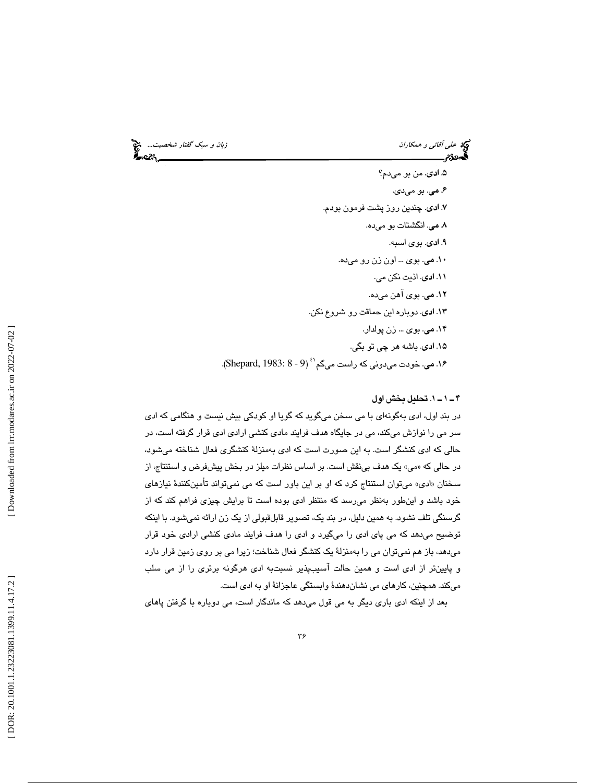و همكاران زبان و سبك گفتار شخصيت...

# يج ع*لي آقائي و همكاران*<br>پهر**د**گام <u>است است ا</u>

۵. ا**د**ی. من بو میدم؟ ۶. مي. بو ميدي. اد. 7 .ي چند ين روز پشت فرمون بودم. .ده م. 8 .ي انگشتات بو مي ۹. **اد**ی. بو ی اسبه. .ده م. 10 .ي بو ي ... اون زن رو مي ١١. ادى. اذيت نكن مي. ۱۲. **می**. بوی اهن میده. ۱۳. **ادی**. دوباره این حماقت رو شروع نکن. ۱۴. می. بوی ... زن پولدار. ۱۵. ا**د**ی. باشه هر چی تو بگی. ۱۶. می. خودت میدونی كه راست میگم<sup>۰٬ (Shepard, 1983: 8 - 9).</sup>

#### 1.ـ 1ـ 4 تحل يل بخش اول

در بند اول، ادی بهگونهای با می سخن میگوید که گویا او کودکی بیش نیست و هنگامی که ادی سر می را نوازش میکند، می در جایگاه هدف فرایند مادی کنشی ارادی ادی قرار گرفته است، در حالی که ادی کنشگر است. به این صورت است که ادی بهمنزلهٔ کنشگری فعال شناخته میشود، در حالی که «می» یک هدف بینقش است. بر اساس نظرات میلز در بخش پیشفرض و استنتاج، از سخنان «ادی» میتوان استنتاج کرد که او بر این باور است که می نمیتواند تأمینکنندهٔ نیازهای خود باشد و اين طور به نظر مي رسد كه منتظر ادى بوده است تا برايش چيزي فراهم كند كه از گرسنگی تلف نشود. به همین دلیل، در بند یک، تصویر قابلقبولی از یک زن ارائه نمیشود. با اینکه توضیح میدهد که می پای ادی را میگیرد و ادی را هدف فرایند مادی کنشی ارادی خود قرار میدهد، باز هم نمیتوان می را بهمنزلهٔ یک کنشگر فعال شناخت؛ زیرا می بر روی زمین قرار دارد و پايينتر از ادی است و همين حالت اسيبپذير نسبتبه ادی هرگونه برتری را از می سلب ميكند. همچنين، كارهاي مي نشاندهندهٔ وابستگي عاجزانهٔ او به ادي است.

بعد از اينكه ادى بارى ديگر به مى قول مىدهد كه ماندگار است، مى دوباره با گرفتن پاهاى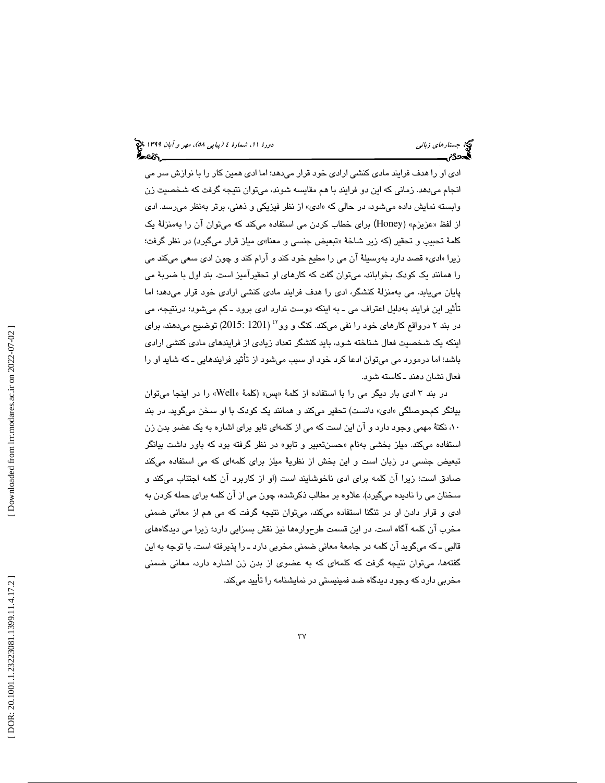ادی او را هدف فرایند مادی کنشی ارادی خود قرار میدهد؛ اما ادی همین کار را با نوازش سر می انجام میدهد. زمانی كه این دو فرایند با هم مقایسه شوند، میتوان نتیجه گرفت كه شخصیت زن وابسته نمایش داده میشود، در حالی که «ادی» از نظر فیزیکی و ذهنی، برتر بهنظر میرسد. ادی از لفظ «عزیزم» (Honey) برای خطاب کردن می استفاده میکند که میتوان آن را بهمنزلهٔ یک کلمهٔ تحبیب و تحقیر (که زیر شاخهٔ «تبعیض جنسی و معنا»ی میلز قرار میگیرد) در نظر گرفت؛ زيرا «ادی» قصد دارد بهوسيلهٔ ان می را مطيع خود كند و ارام كند و چون ادی سعی میكند می را همانند یک کودک بخواباند، میتوان گفت که کارهای او تحقیرامیز است. بند اول با ضربهٔ می پایان مییابد. می بهمنزلهٔ کنشگر، ادی را هدف فرایند مادی کنشی ارادی خود قرار میدهد؛ اما تأثير اين فرايند بەدليل اعتراف مي ــ به اينكه دوست ندارد ادى برود ــ كم ميشود؛ درنتيجه، مي در بند ۲ درواقع كارهای خود را نفی میكند. كنگ و وو<sup>٬۲</sup> (2015: 1201) توضیح میدهند، برای اينكه يک شخصيت فعال شناخته شود، بايد كنشگر تعداد زيادي از فرايندهاي مادي كنشي ارادي ا باشد؛ اما درمورد می میتوان ادعا کرد خود او سبب میشود از تأثیر فرایندهایی ــ که شاید او را فعال نشان دهند ـ كاسته شود.

در بند ۳ ادی بار دیگر می را با استفاده از كلمهٔ «پس» (كلمهٔ «Well» را در اینجا میتوان بیانگر کمحوصلگی «ادی» دانست) تحقیر میکند و همانند یک کودک با او سخن میگوید. در بند 10، نكتة مهمي وجود دارد و آن ا ين است كه م ي از كلمه يا تابو برا ا ي شاره به يك عضو بدن زن استفاده میکند. میلز بخشی بهنام «حسنiعبیر و تابو» در نظر گرفته بود که باور داشت بیانگر تبعیض جنسی در زبان است و این بخش از نظریهٔ میلز برای کلمهای که می استفاده میکند صادق است؛ زیرا ان کلمه برای ادی ناخوشایند است (او از کاربرد ان کلمه اجتناب میکند و سخنان مي را ناديده ميگيرد). علاوه بر مطالب ذكرشده، چون مي از آن كلمه براي حمله كردن به ادی و قرار دادن او در تنگنا استفاده میكند، میتوان نتیجه گرفت كه می هم از معانی ضمنی مخرب آن كلمه آگاه است. در اين قسمت طرحوارهها نيز نقش بسزايي دارد؛ زيرا مي ديدگاههاي قالبی ــ که میگوید آن کلمه در جامعهٔ معانی ضمنی مخربی دارد ــ را پذیرفته است. با توجه به این گفتهها، میتوان نتیجه گرفت که کلمهای که به عضوی از بدن زن اشاره دارد، معانی ضمنی مخربي دارد كه وجود ديدگاه ضد فمينيستي در نمايشنامه تأ را ييد ميكند.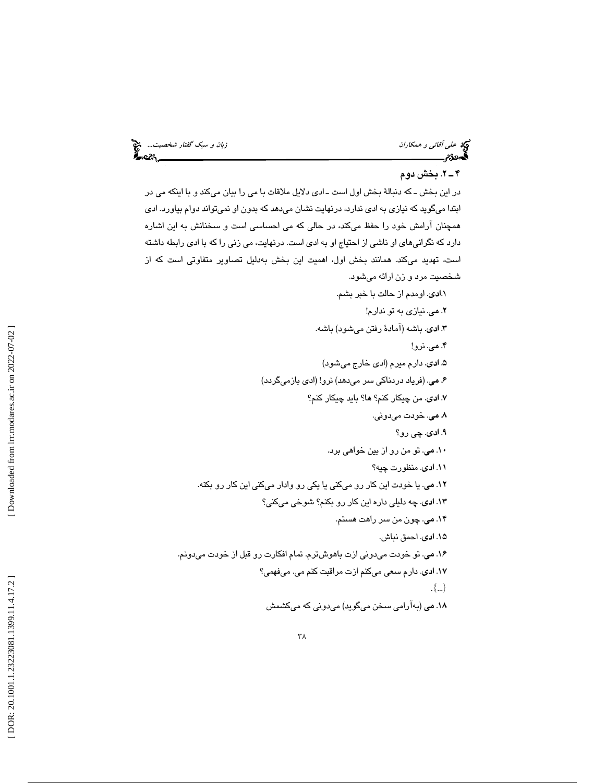ز*بان و سبک گفتار شخصيت...*<br>انجان سيس<u>لمست سم</u>سكسي پايتى

# حي ع*لي آقائي و همكاران*<br>ه**م**حدد من السند

### 2.ـ 4 بخش دوم

در اين بخش ــ كه دنبالهٔ بخش اول است ــ ادى دلايل ملاقات با مى را بيان مىكند و با اينكه مى در ابتدا میگوید که نیازی به ادی ندارد، درنهایت نشان میدهد که بدون او نمیتواند دوام بیاورد. ادی همچنان ارامش خود را حفظ مىكند، در حالى كه مى احساسى است و سخنانش به اين اشاره دارد كه نگرانیِهای او ناشی از احتیاج او به ادی است. درنهایت، می زنی را كه با ادی رابطه داشته است، تهدید میکند. همانند بخش اول، اهمیت این بخش بهدلیل تصاویر متفاوتی است که از شخصيت مرد و زن ارائه ميشود.

. اومدم از حالت با خبر بشم. 1. ادي . نيازي تو به ندارم ! م. 2 ي شود) باشه. اد. 3 .ي باشه (آماد ة رفتن مي . نرو! م. 4 ي شود ) . دارم ميرم (اد ي خارج مي اد. 5 ي گردد ) م. 6 ي. (فر ياد دردناكي سر ميدهد) نرو! (اد ي بازمي اد. 7 .ي من چيكار كنم؟ ها؟ با چ يد يكار كنم؟ دون .ي . خودت مي م. 8 ي . چ ي رو؟ اد. 9 ي . تو من رو از ب ين خواهي .برد م. 10 ي . منظورت چيه؟ اد. 11 ي . يا خودت اين كار رو مي يا يكن يكي رو وادار مي ا يكن ين كار رو بكنه . م. 12 ي . چه دليلي داره اين كار رو بكنم؟ شوخي ميكن ي؟ اد. 13 ي . چون من سر راهت هستم. م. 14 ي اد. 15 .ي احمق نباش. دونم. دون ي ازت باهوشترم. تمام افكارت رو قبل از خودت مي . تو خودت مي م. 16 ي . ميفهم ي؟ كنم ازت مراقبت كنم مي اد. 17 .ي دارم سع م ي ي . {...} كشمش دون ي كه مي گويد) مي (بهآرام ي سخن مي م. 18 ي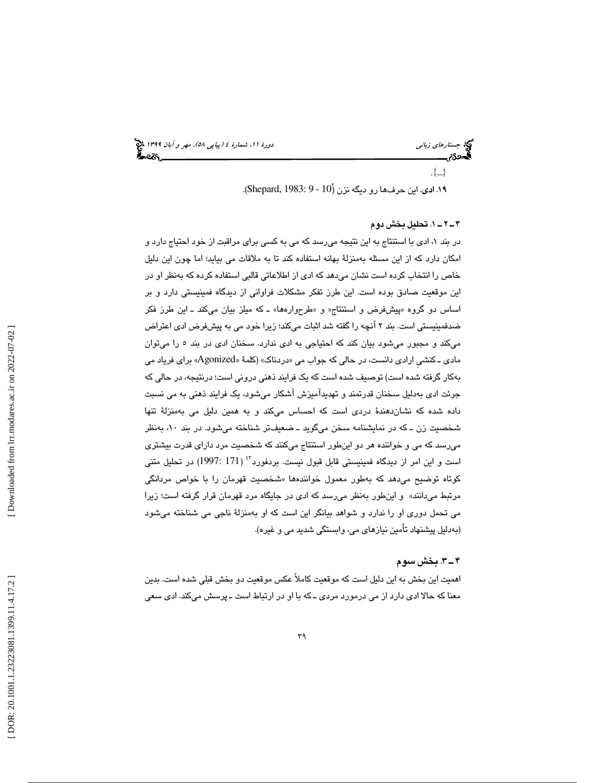(پياپي 58)، مهر و آبان 1399 جستارهاي زباني دورة ،11 شمارة 4

. {...}

۱۹. ادی. این حرفها رو دیگه نزن (*۱*۵ - 9 :Shepard, 1983).

#### 1.ـ 2ـ 4 تحل يل بخش دوم

در بند ۱، ادی با استنتاج به این نتیجه میرسد که می به کسی برای مراقبت از خود احتیاج دارد و امكان دارد كه از اين مسئله بهمنزلة بهانه استفاده كند تا به ملاقات مي بيايد؛ اما چون اين دليل خاص را انتخاب كرده است نشان مىدهد كه ادى از اطلاعاتى قالبى استفاده كرده كه بهنظر او در اين موقعيت صادق بوده است. اين طرز تفكر مشكلات فراواني از ديدگاه فمينيستي دارد و بر ا اساس دو گروه «پیشفرض و استنتاج« و «طرحوارهها» ـ كه میلز بیان میكند ـ این طرز فكر ضدفمینیستی است. بند ۲ انچه را گفته شد اثبات میکند؛ زیرا خود می به پیشفرض ادی اعتراض میکند و مجبور میشود بیان کند که احتیاجی به ادی ندارد. سخنان ادی در بند ٥ را میتوان مادی ــ كنشی ارادی دانست، در حالی كه جواب می «دردناک» (كلمهٔ «Agonized» برای فریاد می به كار گرفته شده است) توصيف شده است كه يک فرايند ذهنی درونی است؛ درنتيجه، در حالی كه جرئت ادی بهدلیل سخنان قدرتمند و تهدیدامیزش اشکار میشود، یک فرایند ذهنی به می نسبت داده شده كه نشاندهندهٔ دردی است كه احساس میكند و به همین دلیل می بهمنزلهٔ تنها شخصیت زن ــ که در نمایشنامه سخن میگوید ــ ضعیفـتر شناخته میشود. در بند ۱۰، بهنظر رسد كه مي و خواننده هر دو اينطور استنتاج ميكنند كه شخص يت مرد داراي قدرت بيشتري مي است و اين امر از ديدگاه فمينيستي قابل قبول نيست. بردفورد<sup>۶</sup>۴ (171 :1997) در تحليل متنی کوتاه توضیح میدهد که بهطور معمول خوانندهها «شخصیت قهرمان را با خواص مردانگی مرتبط ميدانند» و اينطور بهنظر مي رسد كه ادي در جايگاه مرد قهرمان قرار گرفته است؛ زيرا مي تحمل دوري او را ندارد و شواهد بيانگر اين است كه او بهمنزلهٔ ناجي مي شناخته ميشود (بهدليل پيشنهاد تأمين نيازهای می، وابستگی شديد می و غيره).

#### 3ـ 4 . بخش سو م

اهميت اين بخش به اين دليل است كه موقعيت كاملاً عكس موقعيت دو بخش قبلي شده است. بدين معنا كه حالا ادى دارد از مى درمورد مردى ـ كه با او در ارتباط است ـ پرسش مىكند. ادى سعى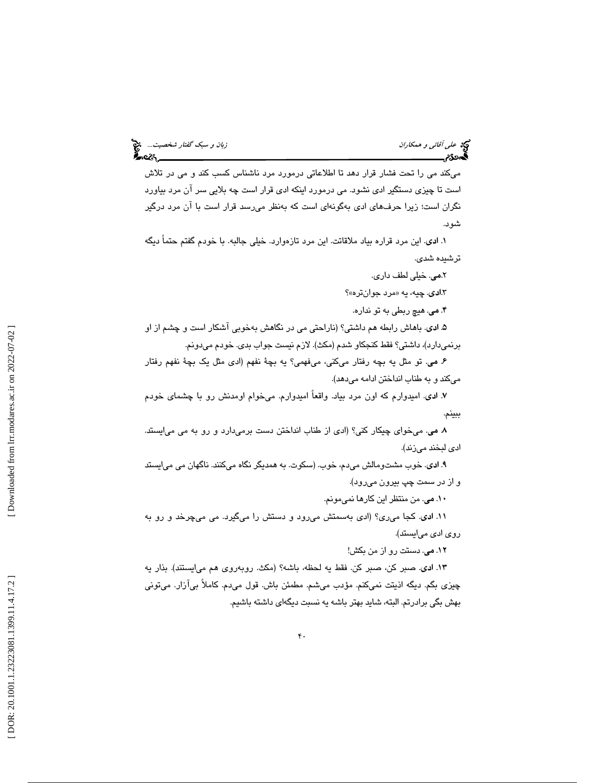میكند می را تحت فشار قرار دهد تا اطلاعاتی درمورد مرد ناشناس كسب كند و می در تلاش است تا چیزی دستگیر ادی نشود. می درمورد اینکه ادی قرار است چه بلایی سر آن مرد بیاورد نگران است؛ زیرا حرفهای ادی بهگونهای است که بهنظر میرسد قرار است با ان مرد درگیر شود.

اد. 1 .ي ا ين مرد قراره ب ياد ملاقاتت. ا ين مرد تازهوارد. خيلي جالبه. با خودم گفتم حتماً د يگه تر شىدە شدى.

٢. مي. خيلي لطف داري.

۰.**اد**ی. چیه، یه «مرد جوانتره»؟

۴. می. هیچ ربطی به تو نداره.

۵. **اد**ی. باهاش رابطه هم داشتی؟ (ناراحتی می در نگاهش بهخوبی آشکار است و چشم از او برنميدارد)، داشتي؟ فقط كنجكاو شدم (مكث). لازم نيست جواب بدى. خودم ميدونم.

ع مي. تو مثل يه بچه رفتار ميكني، ميفهمي؟ يه بچهٔ نفهم (ادى مثل يک بچهٔ نفهم رفتار میکند و به طناب انداختن ادامه میدهد).

۷. لدی. امیدوارم که اون مرد بیاد. واقعاً امیدوارم. میخوام اومدنش رو با چشمای خودم ببينم.

۸ می. میخوای چیکار کنی؟ (ادی از طناب انداختن دست برمیدارد و رو به می میایستد. ادي لبخند مي;ند).

۹. ا**د**ی. خوب مشتومالش میدم، خوب. (سکوت. به همدیگر نگاه میکنند. ناگهان می میایستد و از در سمت چپ بيرون ميرود).

۰۱۰ می. من منتظر این کارها نمیمونم.

۱۱. ا**د**ی. کجا میری؟ (ادی بهسمتش میرود و دستش را میگیرد. می میچرخد و رو به روی ادی می!یستد).

. دستت رو از من بكش! م. 12 ي

١٣. ادى. صبر كن، صبر كن. فقط يه لحظه، باشه؟ (مكث. روبهروى هم مىايستند). بذار يه چیزی بگم. دیگه اذیتت نمیکنم. مؤدب میشم. مطمئن باش. قول میںم. کاملاً بی[زار. میتونی بهش بگی برادرتم. البته، شايد بهتر باشه يه نسبت ديگهاي داشته باشيم.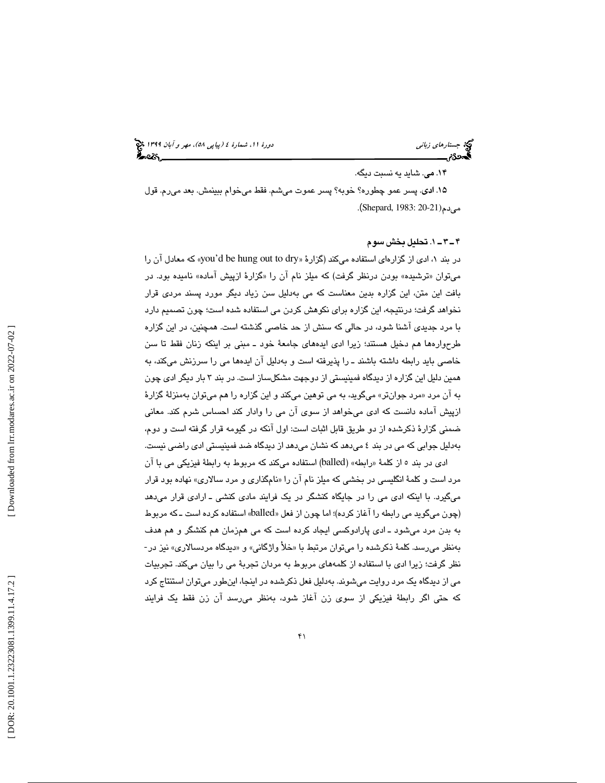(پياپي 58)، مهر و آبان 1399 جستارهاي زباني دورة ،11 شمارة 4

#### ۱۴. می. شاید یه نسبت دیگه.

۱۵. ا**د**ی. پسر عمو چطوره؟ خوبه؟ پسر عموت میشم. فقط میخوام ببینمش. بعد میرم. قول مىدم(Shepard, 1983: 20-21).

#### 1ـ 3ـ 4 . تحل يل بخش سوم

در بند ۱، ادی از گزارهای استفاده میکند (گزارهٔ «you'd be hung out to dry» که معادل آن را میتوان «ترشیده» بودن درنظر گرفت) که میلز نام ان را «گزارهٔ ازپیش اماده» نامیده بود. در بافت اين متن، اين گزاره بدين معناست كه مى بهدليل سن زياد ديگر مورد پسند مردى قرار نخواهد گرفت؛ درنتيجه، اين گزاره براي نكوهش كردن مي استفاده شده است؛ چون تصميم دارد با مرد جديدي آشنا شود، در حالي كه سنش از حد خاصي گذشته است. همچنين، در اين گزاره طرحوارهها هم دخیل هستند؛ زیرا ادی ایدههای جامعهٔ خود ــ مبنی بر اینکه زنان فقط تا سن خاصی باید رابطه داشته باشند ــ را پذیرفته است و بهدلیل ان ایدهها می را سرزنش میکند، به همین دلیل این گزاره از دیدگاه فمینیستی از دوجهت مشكلساز است. در بند ۳ بار دیگر ادی چون به ان مرد «مرد جوانټر» میگوید، به می توهین میکند و این گزاره را هم میټوان بهمنزلهٔ گزارهٔ ازپيش اماده دانست كه ادى مىخواهد از سوى ان مى را وادار كند احساس شرم كند. معانى ضمني گزارهٔ ذكرشده از دو طريق قابل اثبات است: اول آنكه در گيومه قرار گرفته است و دوم، بەدلیل جوابی که می در بند ٤ میدهد که نشان میدهد از دیدگاه ضد فمینیستی ادی راضىی نیست.

ادی در بند ٥ از كلمهٔ «رابطه» (balled) استفاده میكند كه مربوط به رابطهٔ فیزیكی می با آن مرد است و كلمهٔ انگلیسی در بخشی كه میلز نام ان را «نامگذاری و مرد سالاری» نهاده بود قرار میگیرد. با اینکه ادی می را در جایگاه کنشگر در یک فرایند مادی کنشی ــ ارادی قرار میدهد (چون میگوید می رابطه را آغاز کرده)؛ اما چون از فعل «balled» استفاده کرده است ـ که مربوط به بدن مرد میشود ــ ادی پارادوکسی ایجاد کرده است که می همزمان هم کنشگر و هم هدف بهنظر میرسد. کلمهٔ ذکرشده را میقوان مرتبط با «خلأ واژگانی» و «دیدگاه مردسالاری» نیز در-نظر گرفت؛ زیرا ادی با استفاده از کلمههای مربوط به مردان تجربهٔ می را بیان میکند. تجربیات می از دیدگاه یک مرد روایت میشوند. بهدلیل فعل ذکرشده در اینجا، اینطور میتوان استنتاج کرد كه حتى اگر رابطهٔ فیزیکی از سوی زن اغاز شود، بهنظر میرسد ان زن فقط یک فرایند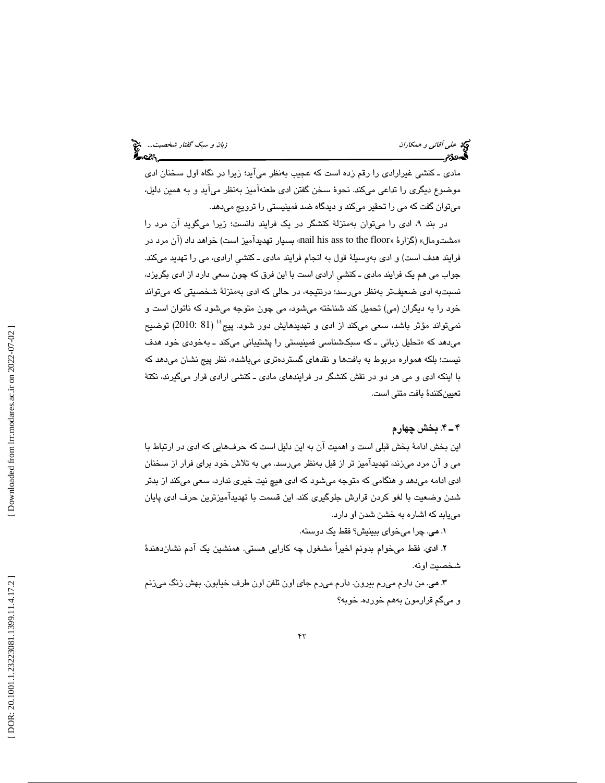مادی ـ كنشی غیرارادی را رقم زده است كه عجیب بهنظر میآید؛ زیرا در نگاه اول سخنان ادی موضوع ديگری را تداعی میکند. نحوهٔ سخن گفتن ادی طعنهامیز بهنظر می[ید و به همین دلیل، میتوان گفت که می را تحقیر میکند و دیدگاه ضد فمینیستی را ترویج میدهد.

در بند ۹، ادی را میتوان بهمنزلهٔ کنشگر در یک فرایند دانست؛ زیرا میگوید ان مرد را «مشتومال» (گزارهٔ «mail his ass to the floor» بسیار تهدیدآمیز است) خواهد داد (آن مرد در فرایند هدف است) و ادی بهوسیلهٔ قول به انجام فرایند مادی ــ كنشی ارادی، می را تهدید میكند. جواب می هم يک فرايند مادی ــ كنشی ارادی است با اين فرق كه چون سعی دارد از ادی بگريزد، نسبتبه ا*دی* ضعیفتر بەنظر میرسد؛ درنتیجه، در حالی که ا*دی* بەمنزلهٔ شخصیتی که میتواند خود را به دیگران (می) تحمیل کند شناخته میشود، می چون متوجه میشود که ناتوان است و نمیتواند مؤثر باشد، سعی میکند از ادی و تهدیدهایش دور شود. پیج<sup>؛؛</sup> (81 :2010) توضیح میدهد که «تحلیل زبانی ــ که سبکشناسی فمینیستی را پشتیبانی میکند ــ بهخودی خود هدف نیست؛ بلکه همواره مربوط به بافتها و نقدهای گستردهتری میباشد». نظر پیج نشان میدهد که با اینكه ادی و می هر دو در نقش كنشگر در فرایندهای مادی ــ كنشی ارادی قرار میگیرند، نكتهٔ تعيين كنندة بافت متنى است.

#### 4ـ 4 . بخش چهارم

اين بخش ادامهٔ بخش قبلي است و اهميت آن به اين دليل است كه حرفهايي كه ادي در ارتباط با ا مي و ان مرد ميزند، تهديداميز تر از قبل بهنظر ميرسد. مي به تلاش خود براي فرار از سـخنان ادی ادامه میدهد و هنگامی که متوجه میشود که ادی هیچ نیت خیری ندارد، سعی میکند از بدتر شدن وضعيت با لغو كردن قرارش جلوگيري كند. اين قسمت با تهديدآميزترين حرف ادي پايان يابد كه اشاره به خشن شدن او دارد. مي

۰. مي. چرا ميخواي ببينيش؟ فقط يک دوسته.

۲. ا**د**ی. فقط میخوام بدونم اخیراً مشغول چه کارایی هستی. همنشین یک آدم نشاندهندهٔ شخصيت اونه.

۳. مي. من دارم ميرم بيرون. دارم ميرم جاي اون تلفن اون طرف خيابون. بهش زنگ ميزنم گم قرارمون بههم خورده. خوبه؟ و مي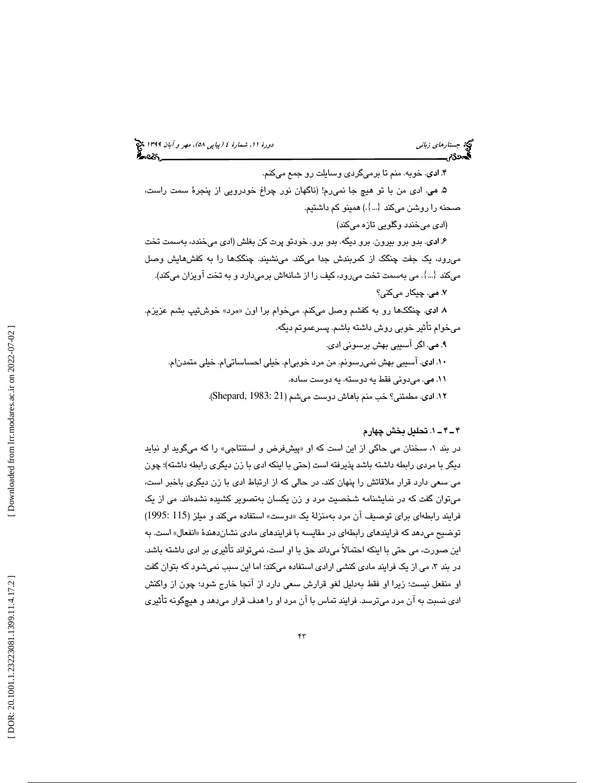۴. **ادی**. خوبه. منم تا برمیگردی وسایلت رو جمع میکنم. ۵. می. ادی من با تو هیچ جا نمیرم! (ناگهان نور چراغ خودرویی از پنجرهٔ سمت راست، صحنه را روشن میکند  $\langle...\rangle$ همینو کم داشتیم. (ا*دی* میخندد وگلویی تازه میکند) ۶. ا**د**ی. بدو برو بیرون. برو دیگه. بدو برو. خودتو پرت كن بغلش (ادی میخندد، بهسمت تخت مىرود، يک جفت چنگک از کمربندش جدا مىکند. مىنشىیند. چنگکها را به کفشهایش وصل میكند  $\{\ldots\}$  . می بهسمت تخت میرود، كیف را از شانهاش برمیدارد و به تخت اویزان میكند). ۷. می. چیکار میکنی؟ ۸ ا**د**ی. چنگکها رو به کفشم وصل میکنم. میخوام برا اون «مرد» خوشتیپ بشم عزیزم. ميخوام تأثير خوبي روش داشته باشم. پسرعموتم ديگه. ۹. می. اگر آسیبی بهش برسونی ادی. ۱۰. ادی. آسیبی بهش نمیرسونم. من مرد خوبی|م. خیلی احساساتی|م. خیلی متمدن|م. ۱۱. می. میدونی فقط یه دوسته. یه دوست ساده.

۱۲. ا**د**ی. مطمئنی؟ خب منم باهاش دوست میشم (Shepard, 1983: 21).

#### 1ـ 4ـ 4 . تحل يل بخش چهارم

در بند ۱، سخنان می حاکی از این است که او «پیشفرض و استنتاجی» را که میگوید او نباید ديگر با مردي رابطه داشته باشد پذيرفته است (حتى با اينكه ادى با زن ديگرى رابطه داشته)؛ چون مي سعي دارد قرار ملاقاتش را پنهان كند، در حالي كه از ارتباط ادي با زن ديگري باخبر است، میتوان گفت که در نمایشنامه شخصیت مرد و زن یکسان بهتصویر کشیده نشدهاند. می از یک فرایند رابطهای برای توصیف آن مرد بهمنزلهٔ یک «دوست» استفاده میکند و میلز (115 :1995) توضيح ميدهد كه فرايندهاي رابطهاي در مقايسه با فرايندهاي مادي نشاندهندهٔ «انفعال» است. به ین صورت، می حتی با اینکه احتمالاً میداند حق با او است، نمیتواند تأثیری بر ادی داشته باشد. ا در بند ۳، می از یک فرایند مادی کنشی ارادی استفاده میکند؛ اما این سبب نمیشود که بتوان گفت او منفعل نيست؛ زيرا او فقط به دليل لغو قرارش يسع دارد از آنجا خارج شود ؛ چون از واكنش ادی نسبت به ان مرد میترسد. فرایند تماس با ان مرد او را هدف قرار میدهد و هیچگونه تأثیری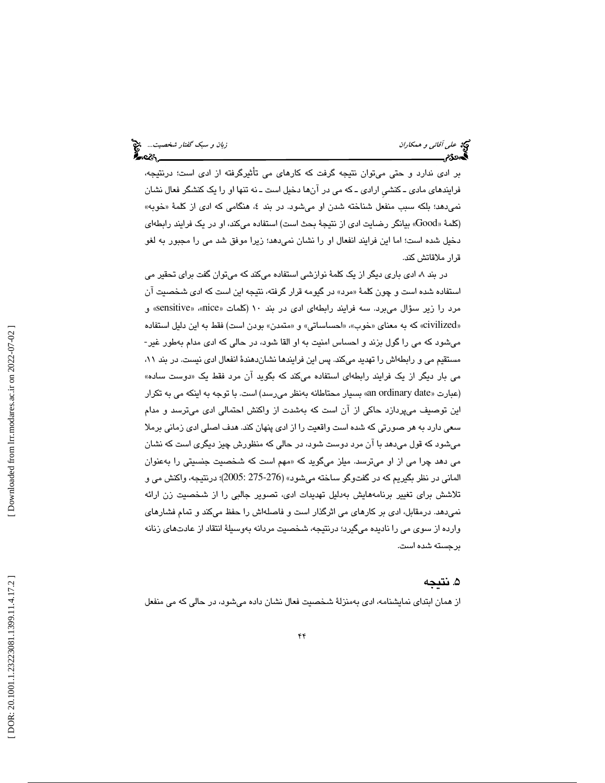بر ادی ندارد و حتی میتوان نتیجه گرفت كه كارهای می تاثیرگرفته از ادی است؛ درنتیجه، فرايندهای مادی ـ كنشی ارادی ـ كه می در آنها دخیل است ـ نه تنها او را یک كنشگر فعال نشان نمی٫دهد؛ بلكه سبب منفعل شناخته شدن او میشود. در بند ٤، هنگامی كه ادی از كلمهٔ «خوبه» (كلمهٔ «Good» بیانگر رضایت ادی از نتیجهٔ بحث است) استفاده میكند، او در یک فرایند رابطهای دخيل شده است؛ اما اين فرايند انفعال او را نشان نميدهد؛ زيرا موفق شد مي را مجبور به لغو قرار ملاقاتش كند.

در بند ۸، ادی باری دیگر از یک کلمهٔ نوازشی استفاده میکند که میتوان گفت برای تحقیر می استفاده شده است و چون كلمهٔ «مرد» در گيومه قرار گرفته، نتيجه اين است كه ادى شخصيت آن مرد را زیر سؤال میبرد. سه فرایند رابطهای ادی در بند ۱۰ (کلمات «mice»، «sensitive» و «civilized» كه به معناي «خوب»، «احساساتي» و «متمدن» بودن است) فقط به اين دليل استفاده مي شود كه مي را گول بزند و احساس امنيت به او القا شود، در حالي كه ادي مدام بهطور غير-مستقيم می و رابطهاش را تهديد میکند. پس اين فرايندها نشاندهندۀ انفعال ادی نيست. در بند ۱۱، می بار دیگر از یک فرایند رابطهای استفاده میکند که بگوید ان مرد فقط یک «دوست ساده» (عبارت «an ordinary date» بسیار محتاطانه بهنظر میرسد) است. با توجه به اینکه می به تکرار ین توصیف میپردازد حاکی از ان است که بهشدت از واکنش احتمالی ادی میترسد و مدام ا سعی دارد به هر صورتی كه شده است واقعیت را از ادی پنهان كند. هدف اصلی ادی زمانی برملا میشود که قول میدهد با ان مرد دوست شود، در حالی که منظورش چیز دیگری است که نشان می دهد چرا می از او میترسد. میلز میگوید که «مهم است که شخصیت جنسیتی را بهعنوان المانی در نظر بگیریم که در گفتوگو ساخته میشود» (276-275 :2005)؛ درنتیجه، واکنش می و تلاشش برای تغییر برنامههایش بهدلیل تهدیدات ادی، تصویر جالبی را از شخصیت زن ارائه نمیدهد. درمقابل، ادی بر کارهای می اثرگذار است و فاصلهاش را حفظ میکند و تمام فشارهای وارده از سوی می را نادیده میگیرد؛ درنتیجه، شخصیت مردانه بهوسیلهٔ انتقاد از عادتهای زنانه برجسته شده است.

### . نتيجه 5

از همان ابتدای نمایشنامه، ادی بهمنزلهٔ شخصیت فعال نشان داده میشود، در حالی که می منفعل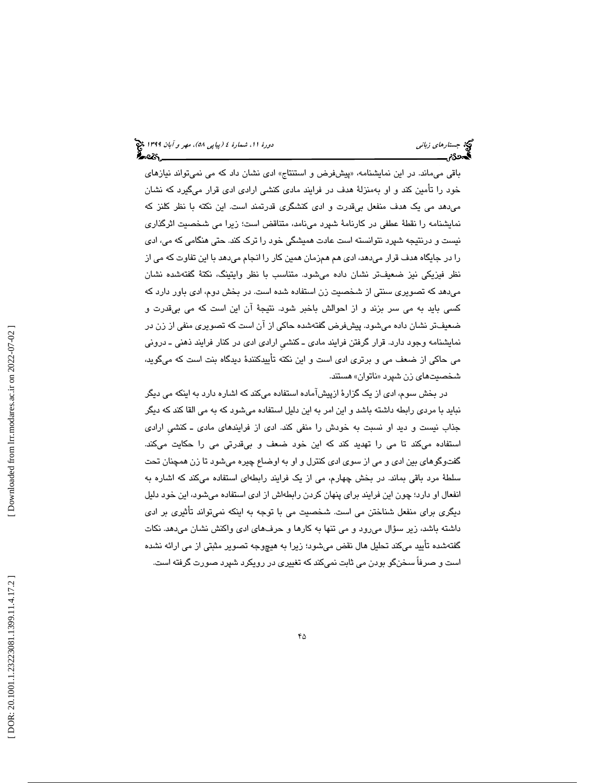باقی میماند. در این نمایشنامه، «پیشفرض و استنتاج» ادی نشان داد که می نمیتواند نیازهای خود را تأمین کند و او بهمنزلهٔ هدف در فرایند مادی کنشی ارادی ادی قرار میگیرد که نشان میںهد می یک هدف منفعل بیقدرت و ادی کنشگری قدرتمند است. این نکته با نظر کلنز که نمايشنامه را نقطة عطفي در كارنامة شپرد مينامد، متناقض است؛ زيرا مي شخصيت اثرگذاري نيست و درنتيجه شپرد نتوانسته است عادت هميشگي خود را ترک کند. حتی هنگامی که می، ادی را در جایگاه هدف قرار میدهد، ادی هم همزمان همین کار را انجام میدهد با این تفاوت که می از نظر فيزيكي نيز ضعيفـتر نشـان داده ميشود. متناسب با نظر وايتينگ، نكتهٔ گفتهشده نشـان میدهد که تصویری سنتی از شخصیت زن استفاده شده است. در بخش دوم، ادی باور دارد که كسى بايد به مى سر بزند و از احوالش باخبر شود. نتيجهٔ آن اين است كه مى بىقدرت و ضعیفتر نشان داده میشود. پیشفرض گفتهشده حاكی از ان است كه تصویری منفی از زن در نمايشنامه وجود دارد. قرار گرفتن فرايند مادى ـ كنشى ارادى ادى در كنار فرايند ذهنى ـ درونى می حاکی از ضعف می و برتری ادی است و این نکته تأییدکنندهٔ دیدگاه بنت است که میگوید، شخصيت يها زن شپرد نا« توان » هستند.

در بخش سوم، ادی از یک گزارهٔ ازپیشاماده استفاده میکند که اشاره دارد به اینکه می دیگر نباید با مردی رابطه داشته باشد و این امر به این دلیل استفاده میشود که به می القا کند که دیگر جذاب نيست و ديد او نسبت به خودش را منفي كند. ادى از فرايندهاى مادى ــ كنشى ارادى استفاده میکند تا می را تهدید کند که این خود ضعف و بیقدرتی می را حکایت میکند. گفتوگوهای بین ادی و می از سوی ادی کنترل و او به اوضاع چیره میشود تا زن همچنان تحت سلطهٔ مرد باقی بماند. در بخش چهارم، می از یک فرایند رابطهای استفاده میکند که اشاره به انفعال او دارد؛ چون اين فرايند براي پنهان كردن رابطهاش از ادي استفاده ميشود، اين خود دليل ديگری برای منفعل شناختن می است. شخصيت می با توجه به اينكه نمیتواند تأثيری بر ادی داشته باشد، زیر سؤال میرود و می تنها به کارها و حرفهای ادی واکنش نشان میدهد. نکات گفتهشده تأييد مي كند تحليل هال نقض ميشود؛ زيرا به هيچوجه تصوير مثبتي از مي ارائه نشده است و صرفاً سخنگو بودن می ثابت نمیكند كه تغييری در رويكرد شپرد صورت گرفته است.

 [\[ DOR: 20.1001.1.23223081.1399.11.4.17](https://dorl.net/dor/20.1001.1.23223081.1399.11.4.17.2).2 ] [\[ Downloaded from lrr.modares.ac.ir on 20](https://lrr.modares.ac.ir/article-14-30788-fa.html)22-07-02 ] Downloaded from lrr.modares.ac.ir on 2022-07-02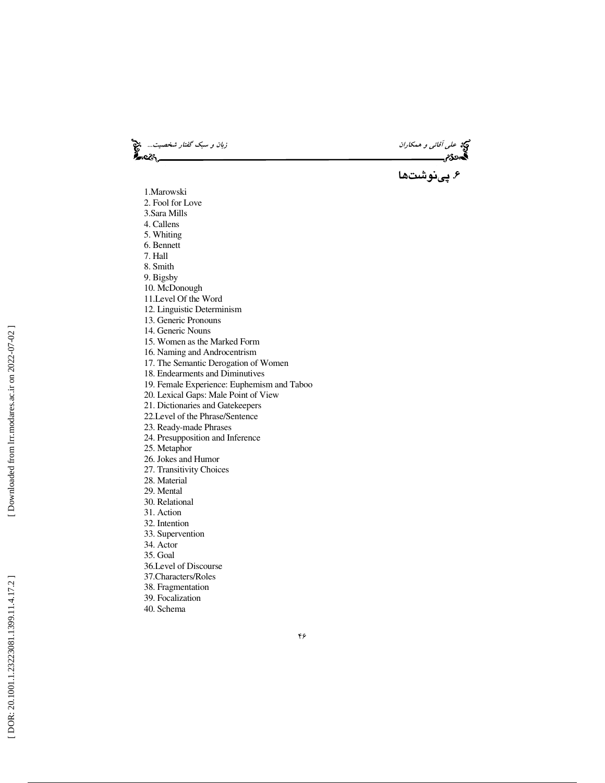و*بان و سبک گفتار شخصيت...*<br>افتار<br>استانستان سيسكسيست بان**گ** 

ن<mark>گ</mark>هٔ عل*ی آقائی و همکاران*<br>ا**گ**مونگانم

## . 6 پينوشت ها

- 1.Marowski 2. Fool for Love
- 3.Sara Mills
- 4. Callens
- 5. Whiting
- 6. Bennett
- 7. Hall
- 8. Smith
- 9. Bigsby
- 10. McDonough
- 11.Level Of the Word
- 12. Linguistic Determinism
- 13. Generic Pronouns
- 14. Generic Nouns
- 15. Women as the Marked Form
- 16. Naming and Androcentrism
- 17. The Semantic Derogation of Women
- 18. Endearments and Diminutives
- 19. Female Experience: Euphemism and Taboo
- 20. Lexical Gaps: Male Point of View
- 21. Dictionaries and Gatekeepers
- 22.Level of the Phrase/Sentence
- 23. Ready-made Phrases
- 24. Presupposition and Inference
- 25. Metaphor
- 26. Jokes and Humor
- 27. Transitivity Choices
- 28. Material
- 29. Mental
- 30. Relational
- 31. Action
- 32. Intention
- 33. Supervention
- 34. Actor
- 35. Goal
- 36.Level of Discourse
- 37.Characters/Roles
- 38. Fragmentation
- 39. Focalization
- 40. Schema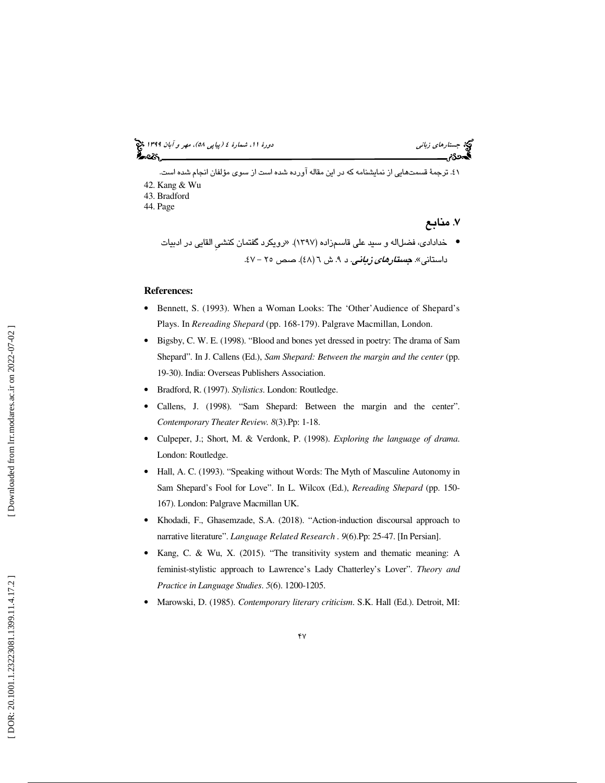41. ترجمة قسمتهايي از نمايشنامه كه در اين مقاله آورده شده است از سوي مؤلفان انجام شده است. 42. Kang & Wu 43. Bradford

44. Page

. 7 منابع

• خدادادی، فضلاله و سيد علي قاسمزاده (١٣٩٧). «رويكرد گفتمان كنشي القايي در ادبيات داستانی». <mark>*جستارهای زبانی. د ۹. ش ٦ (٤٨). صص ٢٥ – ٤٧*.</mark>

#### **References:**

- Bennett, S. (1993). When a Woman Looks: The 'Other'Audience of Shepard's Plays. In *Rereading Shepard* (pp. 168-179). Palgrave Macmillan, London.
- Bigsby, C. W. E. (1998). "Blood and bones yet dressed in poetry: The drama of Sam Shepard". In J. Callens (Ed.), *Sam Shepard: Between the margin and the center* (pp. 19-30). India: Overseas Publishers Association.
- Bradford, R. (1997). *Stylistics*. London: Routledge.
- Callens, J. (1998). "Sam Shepard: Between the margin and the center". *Contemporary Theater Review. 8*(3).Pp: 1-18.
- Culpeper, J.; Short, M. & Verdonk, P. (1998). *Exploring the language of drama*. London: Routledge.
- Hall, A. C. (1993). "Speaking without Words: The Myth of Masculine Autonomy in Sam Shepard's Fool for Love". In L. Wilcox (Ed.), *Rereading Shepard* (pp. 150- 167). London: Palgrave Macmillan UK.
- Khodadi, F., Ghasemzade, S.A. (2018). "Action-induction discoursal approach to narrative literature". *Language Related Research . 9*(6).Pp: 25-47. [In Persian].
- Kang, C. & Wu, X. (2015). "The transitivity system and thematic meaning: A feminist-stylistic approach to Lawrence's Lady Chatterley's Lover". *Theory and Practice in Language Studies*. *5*(6). 1200-1205.
- Marowski, D. (1985). *Contemporary literary criticism*. S.K. Hall (Ed.). Detroit, MI: